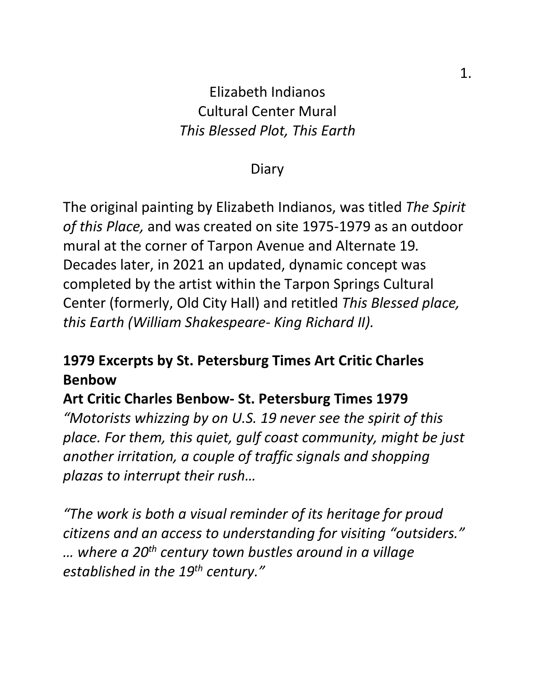## Elizabeth Indianos Cultural Center Mural *This Blessed Plot, This Earth*

#### Diary

The original painting by Elizabeth Indianos, was titled *The Spirit of this Place,* and was created on site 1975-1979 as an outdoor mural at the corner of Tarpon Avenue and Alternate 19*.*  Decades later, in 2021 an updated, dynamic concept was completed by the artist within the Tarpon Springs Cultural Center (formerly, Old City Hall) and retitled *This Blessed place, this Earth (William Shakespeare- King Richard II).*

## **1979 Excerpts by St. Petersburg Times Art Critic Charles Benbow**

### **Art Critic Charles Benbow- St. Petersburg Times 1979**

*"Motorists whizzing by on U.S. 19 never see the spirit of this place. For them, this quiet, gulf coast community, might be just another irritation, a couple of traffic signals and shopping plazas to interrupt their rush…*

*"The work is both a visual reminder of its heritage for proud citizens and an access to understanding for visiting "outsiders." … where a 20th century town bustles around in a village established in the 19th century."*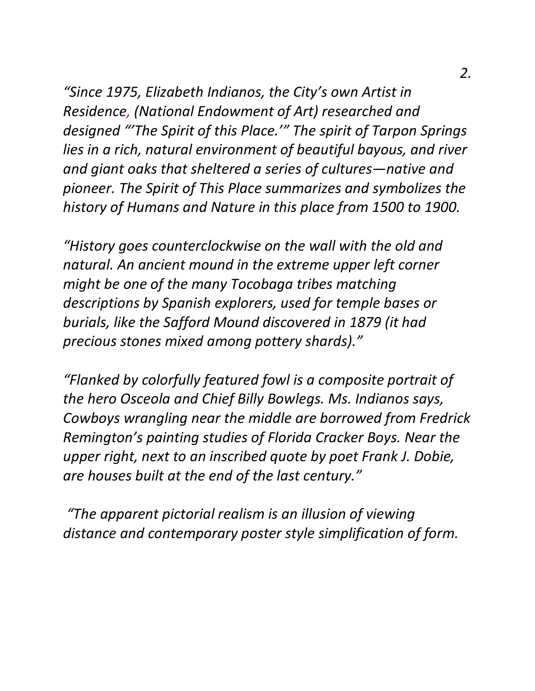*"Since 1975, Elizabeth Indianos, the City's own Artist in Residence, (National Endowment of Art) researched and designed "'The Spirit of this Place.'" The spirit of Tarpon Springs lies in a rich, natural environment of beautiful bayous, and river and giant oaks that sheltered a series of cultures—native and pioneer. The Spirit of This Place summarizes and symbolizes the history of Humans and Nature in this place from 1500 to 1900.*

*"History goes counterclockwise on the wall with the old and natural. An ancient mound in the extreme upper left corner might be one of the many Tocobaga tribes matching descriptions by Spanish explorers, used for temple bases or burials, like the Safford Mound discovered in 1879 (it had precious stones mixed among pottery shards)."*

*"Flanked by colorfully featured fowl is a composite portrait of the hero Osceola and Chief Billy Bowlegs. Ms. Indianos says, Cowboys wrangling near the middle are borrowed from Fredrick Remington's painting studies of Florida Cracker Boys. Near the upper right, next to an inscribed quote by poet Frank J. Dobie, are houses built at the end of the last century."*

*"The apparent pictorial realism is an illusion of viewing distance and contemporary poster style simplification of form.*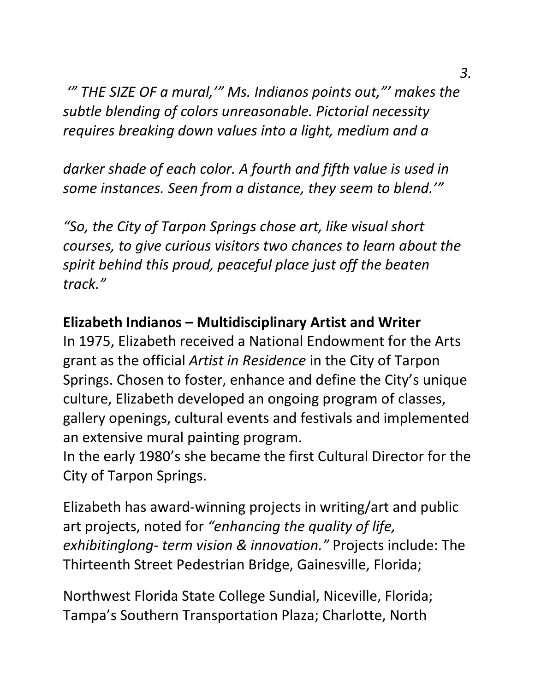*'" THE SIZE OF a mural,'" Ms. Indianos points out,"' makes the subtle blending of colors unreasonable. Pictorial necessity requires breaking down values into a light, medium and a* 

*darker shade of each color. A fourth and fifth value is used in some instances. Seen from a distance, they seem to blend.'"*

*"So, the City of Tarpon Springs chose art, like visual short courses, to give curious visitors two chances to learn about the spirit behind this proud, peaceful place just off the beaten track."*

## **Elizabeth Indianos – Multidisciplinary Artist and Writer**

In 1975, Elizabeth received a National Endowment for the Arts grant as the official *Artist in Residence* in the City of Tarpon Springs. Chosen to foster, enhance and define the City's unique culture, Elizabeth developed an ongoing program of classes, gallery openings, cultural events and festivals and implemented an extensive mural painting program.

In the early 1980's she became the first Cultural Director for the City of Tarpon Springs.

Elizabeth has award-winning projects in writing/art and public art projects, noted for *"enhancing the quality of life, exhibitinglong- term vision & innovation."* Projects include: The Thirteenth Street Pedestrian Bridge, Gainesville, Florida;

Northwest Florida State College Sundial, Niceville, Florida; Tampa's Southern Transportation Plaza; Charlotte, North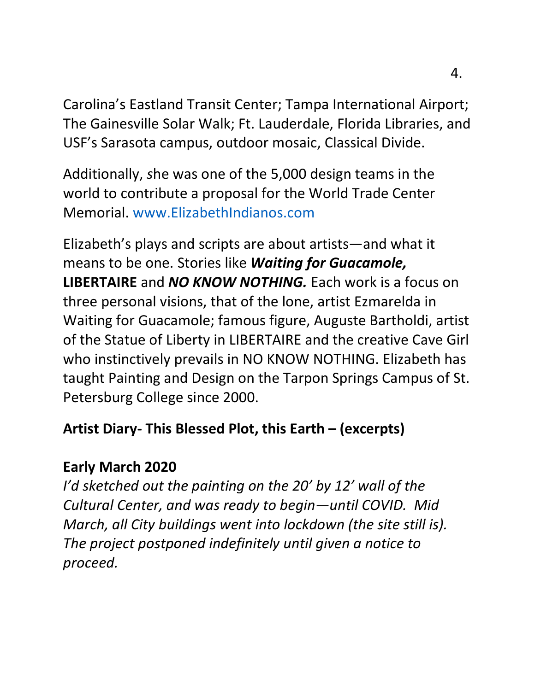Carolina's Eastland Transit Center; Tampa International Airport; The Gainesville Solar Walk; Ft. Lauderdale, Florida Libraries, and USF's Sarasota campus, outdoor mosaic, Classical Divide.

Additionally, *s*he was one of the 5,000 design teams in the world to contribute a proposal for the World Trade Center Memorial. www.ElizabethIndianos.com

Elizabeth's plays and scripts are about artists—and what it means to be one. Stories like *Waiting for Guacamole,*  **LIBERTAIRE** and *NO KNOW NOTHING.* Each work is a focus on three personal visions, that of the lone, artist Ezmarelda in Waiting for Guacamole; famous figure, Auguste Bartholdi, artist of the Statue of Liberty in LIBERTAIRE and the creative Cave Girl who instinctively prevails in NO KNOW NOTHING. Elizabeth has taught Painting and Design on the Tarpon Springs Campus of St. Petersburg College since 2000.

### **Artist Diary- This Blessed Plot, this Earth – (excerpts)**

## **Early March 2020**

*I'd sketched out the painting on the 20' by 12' wall of the Cultural Center, and was ready to begin—until COVID. Mid March, all City buildings went into lockdown (the site still is). The project postponed indefinitely until given a notice to proceed.*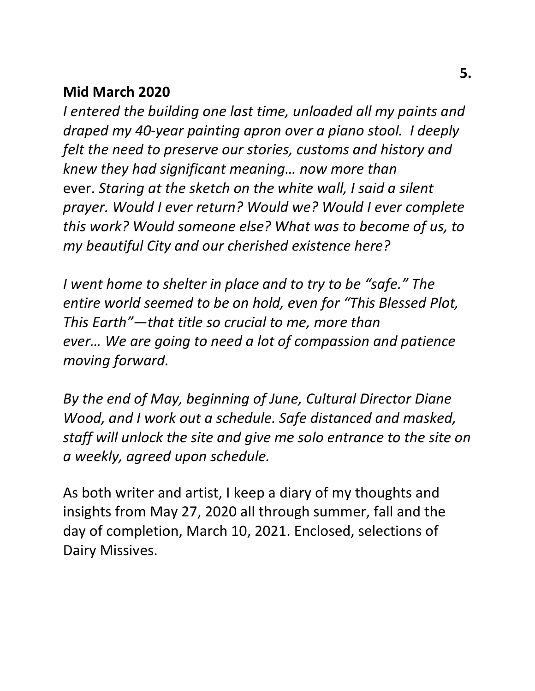#### **Mid March 2020**

*I entered the building one last time, unloaded all my paints and draped my 40-year painting apron over a piano stool. I deeply felt the need to preserve our stories, customs and history and knew they had significant meaning… now more than* ever. *Staring at the sketch on the white wall, I said a silent prayer. Would I ever return? Would we? Would I ever complete this work? Would someone else? What was to become of us, to my beautiful City and our cherished existence here?*

*I went home to shelter in place and to try to be "safe." The entire world seemed to be on hold, even for "This Blessed Plot, This Earth"—that title so crucial to me, more than ever… We are going to need a lot of compassion and patience moving forward.* 

*By the end of May, beginning of June, Cultural Director Diane Wood, and I work out a schedule. Safe distanced and masked, staff will unlock the site and give me solo entrance to the site on a weekly, agreed upon schedule.* 

As both writer and artist, I keep a diary of my thoughts and insights from May 27, 2020 all through summer, fall and the day of completion, March 10, 2021. Enclosed, selections of Dairy Missives.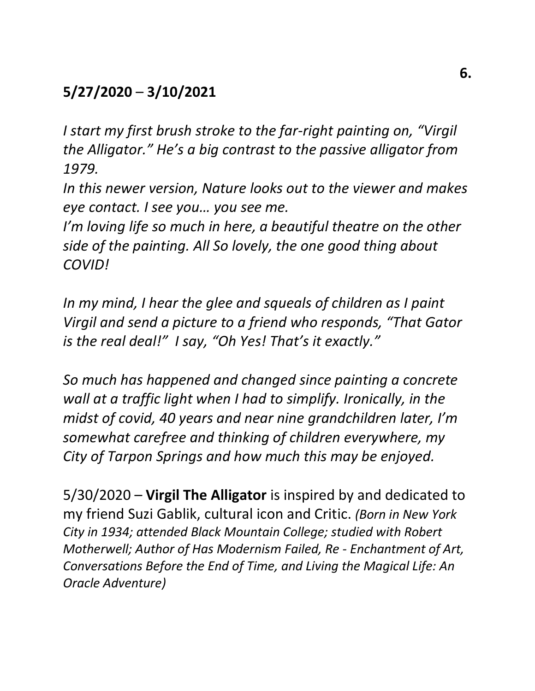# **5/27/2020** – **3/10/2021**

*I start my first brush stroke to the far-right painting on, "Virgil the Alligator." He's a big contrast to the passive alligator from 1979.* 

*In this newer version, Nature looks out to the viewer and makes eye contact. I see you… you see me.*

*I'm loving life so much in here, a beautiful theatre on the other side of the painting. All So lovely, the one good thing about COVID!* 

*In my mind, I hear the glee and squeals of children as I paint Virgil and send a picture to a friend who responds, "That Gator is the real deal!" I say, "Oh Yes! That's it exactly."* 

*So much has happened and changed since painting a concrete wall at a traffic light when I had to simplify. Ironically, in the midst of covid, 40 years and near nine grandchildren later, I'm somewhat carefree and thinking of children everywhere, my City of Tarpon Springs and how much this may be enjoyed.*

5/30/2020 – **Virgil The Alligator** is inspired by and dedicated to my friend Suzi Gablik, cultural icon and Critic. *(Born in New York City in 1934; attended Black Mountain College; studied with Robert Motherwell; Author of Has Modernism Failed, Re - Enchantment of Art, Conversations Before the End of Time, and Living the Magical Life: An Oracle Adventure)*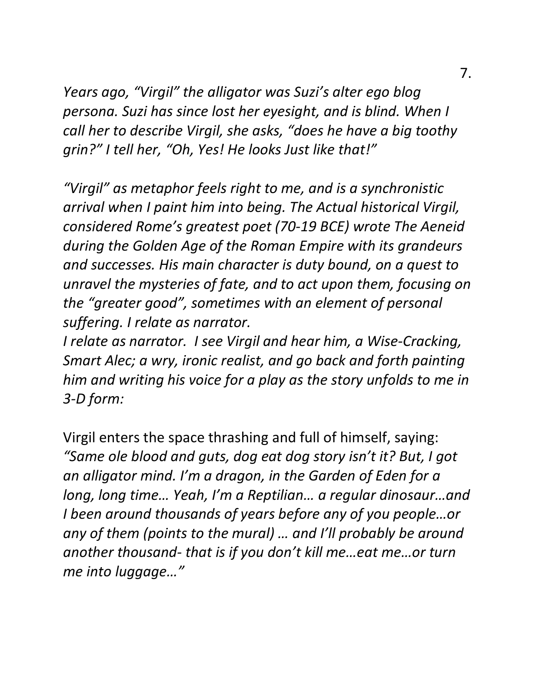*Years ago, "Virgil" the alligator was Suzi's alter ego blog persona. Suzi has since lost her eyesight, and is blind. When I call her to describe Virgil, she asks, "does he have a big toothy grin?" I tell her, "Oh, Yes! He looks Just like that!"*

*"Virgil" as metaphor feels right to me, and is a synchronistic arrival when I paint him into being. The Actual historical Virgil, considered Rome's greatest poet (70-19 BCE) wrote The Aeneid during the Golden Age of the Roman Empire with its grandeurs and successes. His main character is duty bound, on a quest to unravel the mysteries of fate, and to act upon them, focusing on the "greater good", sometimes with an element of personal suffering. I relate as narrator.*

*I relate as narrator. I see Virgil and hear him, a Wise-Cracking, Smart Alec; a wry, ironic realist, and go back and forth painting him and writing his voice for a play as the story unfolds to me in 3-D form:*

Virgil enters the space thrashing and full of himself, saying: *"Same ole blood and guts, dog eat dog story isn't it? But, I got an alligator mind. I'm a dragon, in the Garden of Eden for a long, long time… Yeah, I'm a Reptilian… a regular dinosaur…and I been around thousands of years before any of you people…or any of them (points to the mural) … and I'll probably be around another thousand- that is if you don't kill me…eat me…or turn me into luggage…"*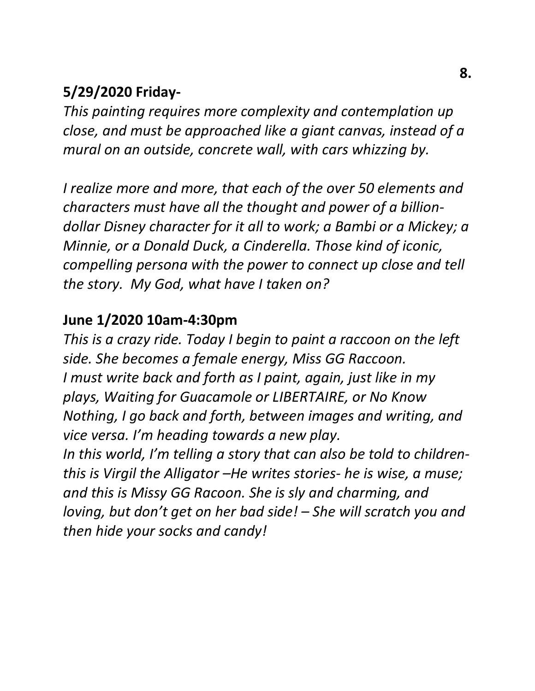## **5/29/2020 Friday-**

*This painting requires more complexity and contemplation up close, and must be approached like a giant canvas, instead of a mural on an outside, concrete wall, with cars whizzing by.*

*I realize more and more, that each of the over 50 elements and characters must have all the thought and power of a billiondollar Disney character for it all to work; a Bambi or a Mickey; a Minnie, or a Donald Duck, a Cinderella. Those kind of iconic, compelling persona with the power to connect up close and tell the story. My God, what have I taken on?*

## **June 1/2020 10am-4:30pm**

*This is a crazy ride. Today I begin to paint a raccoon on the left side. She becomes a female energy, Miss GG Raccoon. I must write back and forth as I paint, again, just like in my plays, Waiting for Guacamole or LIBERTAIRE, or No Know Nothing, I go back and forth, between images and writing, and vice versa. I'm heading towards a new play. In this world, I'm telling a story that can also be told to childrenthis is Virgil the Alligator –He writes stories- he is wise, a muse; and this is Missy GG Racoon. She is sly and charming, and loving, but don't get on her bad side! – She will scratch you and then hide your socks and candy!*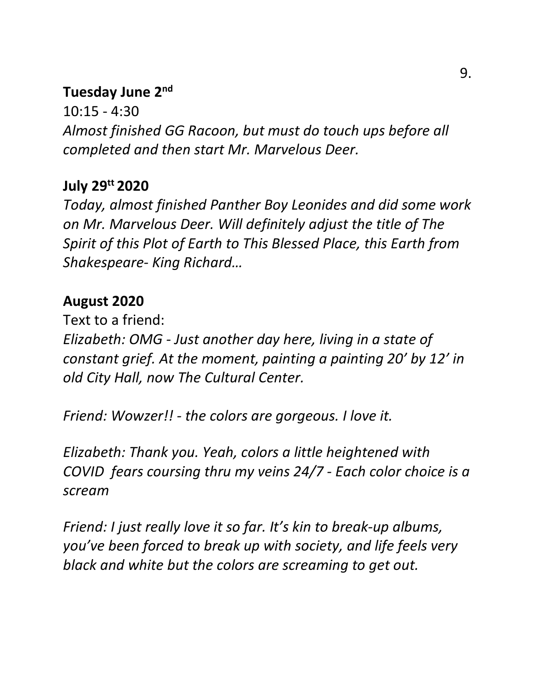### **Tuesday June 2nd**

10:15 - 4:30 *Almost finished GG Racoon, but must do touch ups before all completed and then start Mr. Marvelous Deer.*

## **July 29tt 2020**

*Today, almost finished Panther Boy Leonides and did some work on Mr. Marvelous Deer. Will definitely adjust the title of The Spirit of this Plot of Earth to This Blessed Place, this Earth from Shakespeare- King Richard…*

## **August 2020**

Text to a friend: *Elizabeth: OMG - Just another day here, living in a state of constant grief. At the moment, painting a painting 20' by 12' in old City Hall, now The Cultural Center.* 

*Friend: Wowzer!! - the colors are gorgeous. I love it.*

*Elizabeth: Thank you. Yeah, colors a little heightened with COVID fears coursing thru my veins 24/7 - Each color choice is a scream*

*Friend: I just really love it so far. It's kin to break-up albums, you've been forced to break up with society, and life feels very black and white but the colors are screaming to get out.*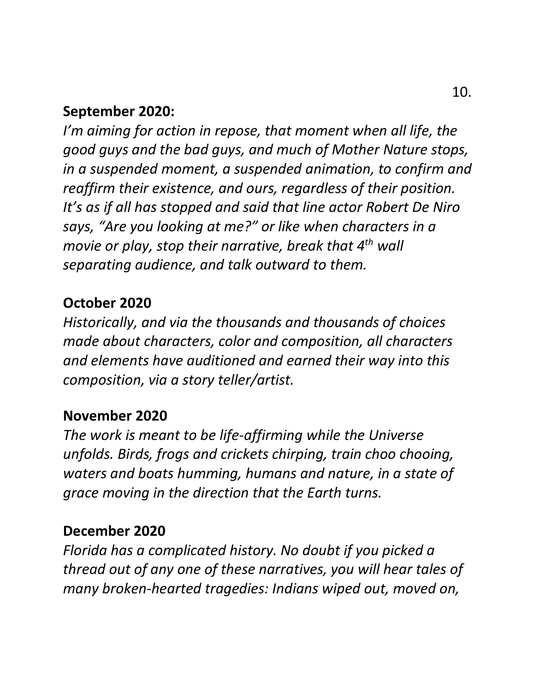### **September 2020:**

*I'm aiming for action in repose, that moment when all life, the good guys and the bad guys, and much of Mother Nature stops, in a suspended moment, a suspended animation, to confirm and reaffirm their existence, and ours, regardless of their position. It's as if all has stopped and said that line actor Robert De Niro says, "Are you looking at me?" or like when characters in a movie or play, stop their narrative, break that 4th wall separating audience, and talk outward to them.*

#### **October 2020**

*Historically, and via the thousands and thousands of choices made about characters, color and composition, all characters and elements have auditioned and earned their way into this composition, via a story teller/artist.*

#### **November 2020**

*The work is meant to be life-affirming while the Universe unfolds. Birds, frogs and crickets chirping, train choo chooing, waters and boats humming, humans and nature, in a state of grace moving in the direction that the Earth turns.* 

#### **December 2020**

*Florida has a complicated history. No doubt if you picked a thread out of any one of these narratives, you will hear tales of many broken-hearted tragedies: Indians wiped out, moved on,*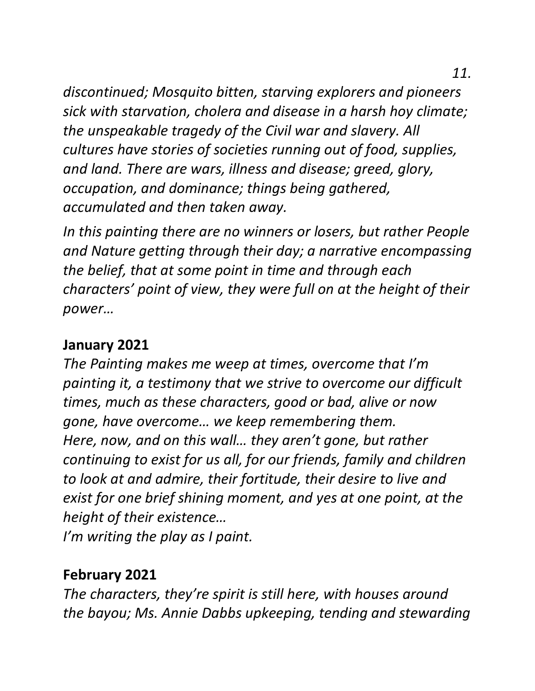*discontinued; Mosquito bitten, starving explorers and pioneers sick with starvation, cholera and disease in a harsh hoy climate; the unspeakable tragedy of the Civil war and slavery. All cultures have stories of societies running out of food, supplies, and land. There are wars, illness and disease; greed, glory, occupation, and dominance; things being gathered, accumulated and then taken away.*

*In this painting there are no winners or losers, but rather People and Nature getting through their day; a narrative encompassing the belief, that at some point in time and through each characters' point of view, they were full on at the height of their power…*

#### **January 2021**

*The Painting makes me weep at times, overcome that I'm painting it, a testimony that we strive to overcome our difficult times, much as these characters, good or bad, alive or now gone, have overcome… we keep remembering them. Here, now, and on this wall… they aren't gone, but rather continuing to exist for us all, for our friends, family and children to look at and admire, their fortitude, their desire to live and exist for one brief shining moment, and yes at one point, at the height of their existence…* 

*I'm writing the play as I paint.*

# **February 2021**

*The characters, they're spirit is still here, with houses around the bayou; Ms. Annie Dabbs upkeeping, tending and stewarding*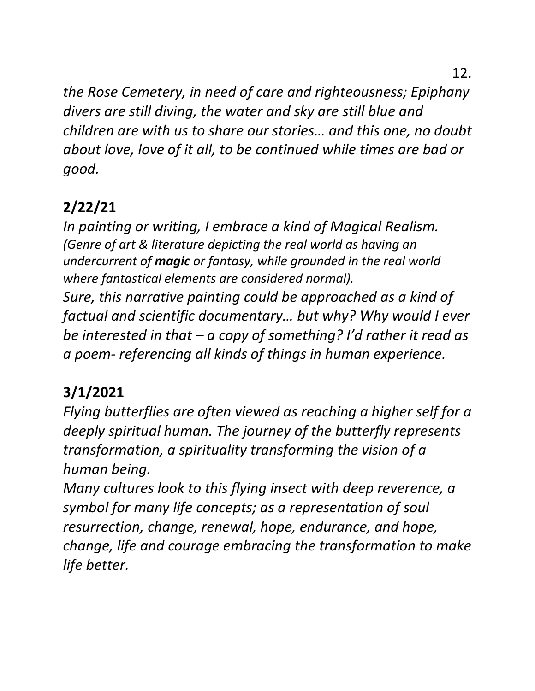12.

*the Rose Cemetery, in need of care and righteousness; Epiphany divers are still diving, the water and sky are still blue and children are with us to share our stories… and this one, no doubt about love, love of it all, to be continued while times are bad or good.* 

# **2/22/21**

*In painting or writing, I embrace a kind of Magical Realism. (Genre of art & literature depicting the real world as having an undercurrent of magic or fantasy, while grounded in the real world where fantastical elements are considered normal).*

*Sure, this narrative painting could be approached as a kind of factual and scientific documentary… but why? Why would I ever be interested in that – a copy of something? I'd rather it read as a poem- referencing all kinds of things in human experience.*

# **3/1/2021**

*Flying butterflies are often viewed as reaching a higher self for a deeply spiritual human. The journey of the butterfly represents transformation, a spirituality transforming the vision of a human being.* 

*Many cultures look to this flying insect with deep reverence, a symbol for many life concepts; as a representation of soul resurrection, change, renewal, hope, endurance, and hope, change, life and courage embracing the transformation to make life better.*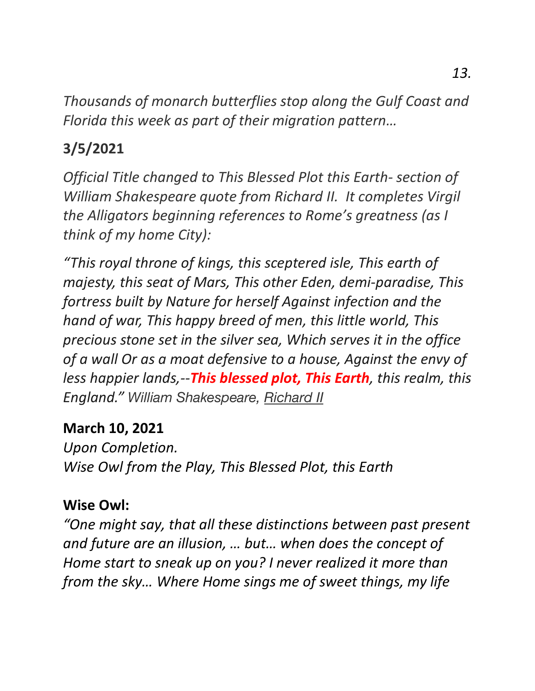*Thousands of monarch butterflies stop along the Gulf Coast and Florida this week as part of their migration pattern…*

# **3/5/2021**

*Official Title changed to This Blessed Plot this Earth- section of William Shakespeare quote from Richard II. It completes Virgil the Alligators beginning references to Rome's greatness (as I think of my home City):*

*"This royal throne of kings, this sceptered isle, This earth of majesty, this seat of Mars, This other Eden, demi-paradise, This fortress built by Nature for herself Against infection and the hand of war, This happy breed of men, this little world, This precious stone set in the silver sea, Which serves it in the office of a wall Or as a moat defensive to a house, Against the envy of less happier lands,--This blessed plot, This Earth, this realm, this England." William Shakespeare, Richard II*

### **March 10, 2021**

*Upon Completion. Wise Owl from the Play, This Blessed Plot, this Earth*

### **Wise Owl:**

*"One might say, that all these distinctions between past present and future are an illusion, … but… when does the concept of Home start to sneak up on you? I never realized it more than from the sky… Where Home sings me of sweet things, my life*